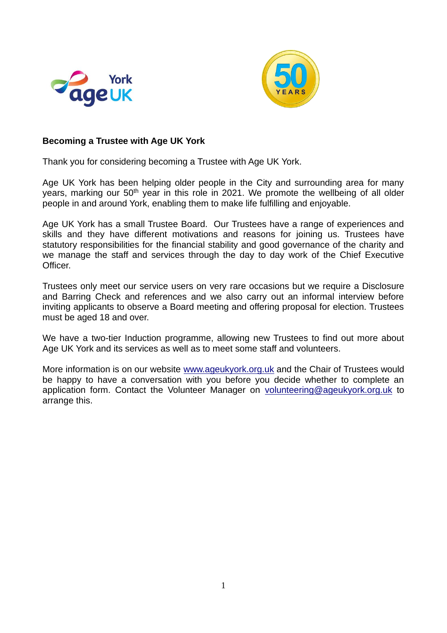



### **Becoming a Trustee with Age UK York**

Thank you for considering becoming a Trustee with Age UK York.

Age UK York has been helping older people in the City and surrounding area for many years, marking our 50<sup>th</sup> year in this role in 2021. We promote the wellbeing of all older people in and around York, enabling them to make life fulfilling and enjoyable.

Age UK York has a small Trustee Board. Our Trustees have a range of experiences and skills and they have different motivations and reasons for joining us. Trustees have statutory responsibilities for the financial stability and good governance of the charity and we manage the staff and services through the day to day work of the Chief Executive Officer.

Trustees only meet our service users on very rare occasions but we require a Disclosure and Barring Check and references and we also carry out an informal interview before inviting applicants to observe a Board meeting and offering proposal for election. Trustees must be aged 18 and over.

We have a two-tier Induction programme, allowing new Trustees to find out more about Age UK York and its services as well as to meet some staff and volunteers.

More information is on our website [www.ageukyork.org.uk](http://www.ageukyork.org.uk/) and the Chair of Trustees would be happy to have a conversation with you before you decide whether to complete an application form. Contact the Volunteer Manager on [volunteering@ageukyork.org.uk](mailto:volunteering@ageukyork.org.uk) to arrange this.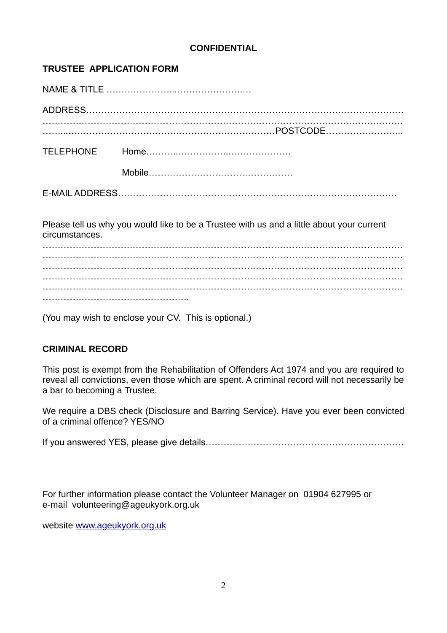### **CONFIDENTIAL**

### **TRUSTEE APPLICATION FORM**

NAME & TITLE …………………...………………….… ADDRESS……………………………………………………………………….…………………… ………………………………………………………………………………………………………… ……...……………………………………………………………POSTCODE…………………….. TELEPHONE Home………..……………..………………… Mobile………………………………………… E-MAIL ADDRESS…………………………………………………………………………………

Please tell us why you would like to be a Trustee with us and a little about your current circumstances.

………………………………………………………………………………………………………… ………………………………………………………………………………………………………… ………………………………………………………………………………………………………… ………………………………………………………………………………………………………… . The contract of the contract of the contract of the contract of the contract of the contract of the contract of the contract of the contract of the contract of the contract of the contract of the contract of the contrac ………………………………………….

(You may wish to enclose your CV. This is optional.)

# **CRIMINAL RECORD**

This post is exempt from the Rehabilitation of Offenders Act 1974 and you are required to reveal all convictions, even those which are spent. A criminal record will not necessarily be a bar to becoming a Trustee.

We require a DBS check (Disclosure and Barring Service). Have you ever been convicted of a criminal offence? YES/NO

If you answered YES, please give details…………………………………………………………

For further information please contact the Volunteer Manager on 01904 627995 or e-mail volunteering@ageukyork.org.uk

website [www.ageukyork.org.uk](http://www.ageukyork.org.uk/)